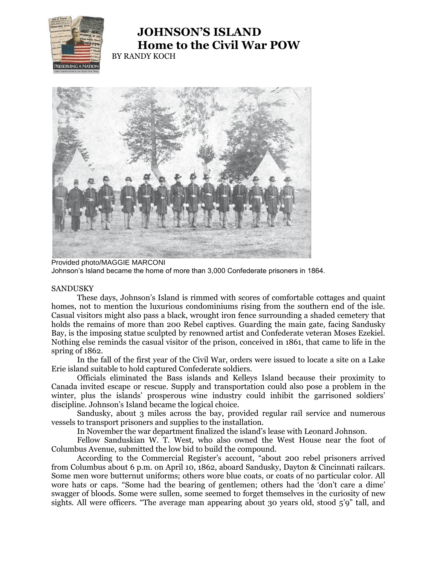

## **JOHNSON'S ISLAND Home to the Civil War POW** BY RANDY KOCH



Provided photo/MAGGIE MARCONI Johnson's Island became the home of more than 3,000 Confederate prisoners in 1864.

## SANDUSKY

These days, Johnson's Island is rimmed with scores of comfortable cottages and quaint homes, not to mention the luxurious condominiums rising from the southern end of the isle. Casual visitors might also pass a black, wrought iron fence surrounding a shaded cemetery that holds the remains of more than 200 Rebel captives. Guarding the main gate, facing Sandusky Bay, is the imposing statue sculpted by renowned artist and Confederate veteran Moses Ezekiel. Nothing else reminds the casual visitor of the prison, conceived in 1861, that came to life in the spring of 1862.

In the fall of the first year of the Civil War, orders were issued to locate a site on a Lake Erie island suitable to hold captured Confederate soldiers.

Officials eliminated the Bass islands and Kelleys Island because their proximity to Canada invited escape or rescue. Supply and transportation could also pose a problem in the winter, plus the islands' prosperous wine industry could inhibit the garrisoned soldiers' discipline. Johnson's Island became the logical choice.

Sandusky, about 3 miles across the bay, provided regular rail service and numerous vessels to transport prisoners and supplies to the installation.

In November the war department finalized the island's lease with Leonard Johnson.

Fellow Sanduskian W. T. West, who also owned the West House near the foot of Columbus Avenue, submitted the low bid to build the compound.

According to the Commercial Register's account, "about 200 rebel prisoners arrived from Columbus about 6 p.m. on April 10, 1862, aboard Sandusky, Dayton & Cincinnati railcars. Some men wore butternut uniforms; others wore blue coats, or coats of no particular color. All wore hats or caps. "Some had the bearing of gentlemen; others had the 'don't care a dime' swagger of bloods. Some were sullen, some seemed to forget themselves in the curiosity of new sights. All were officers. "The average man appearing about 30 years old, stood 5'9" tall, and